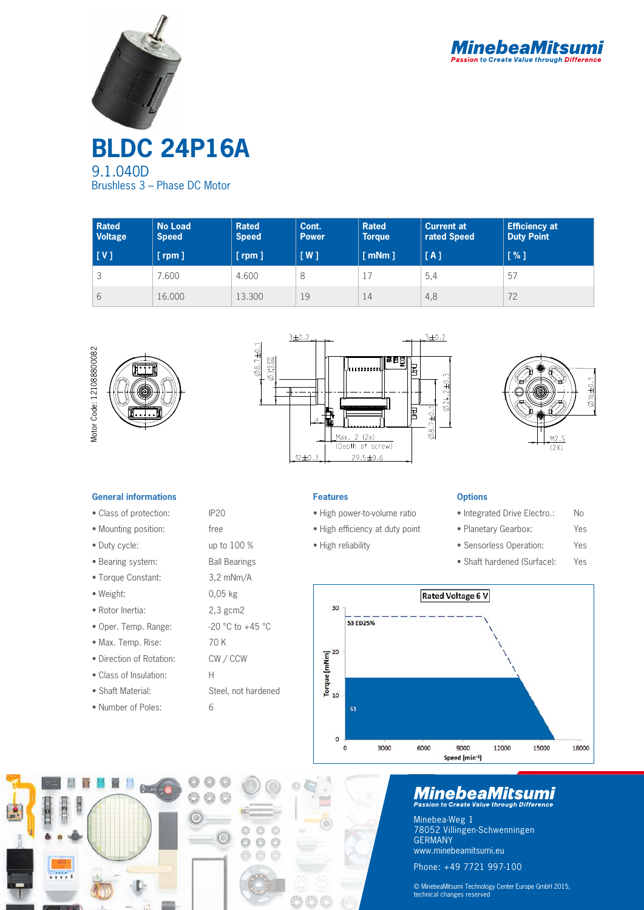



**BLDC 24P16A** 9.1.040D Brushless 3 – Phase DC Motor

| <b>Rated</b><br><b>Voltage</b> | <b>No Load</b><br><b>Speed</b> | <b>Rated</b><br><b>Speed</b> | Cont.<br><b>Power</b> | <b>Rated</b><br><b>Torque</b> | <b>Current at</b><br>rated Speed | <b>Efficiency at</b><br><b>Duty Point</b> |
|--------------------------------|--------------------------------|------------------------------|-----------------------|-------------------------------|----------------------------------|-------------------------------------------|
| [V]                            | $[$ rpm $]$                    | $[$ rpm $]$                  | [W]                   | $\lceil$ mNm $\rceil$         | [A]                              | [%]                                       |
| J                              | .600                           | 4.600                        | 8                     |                               | 5,4                              | 57                                        |
| 6                              | 16.000                         | 13.300                       | 19                    | 14                            | 4,8                              | 72                                        |







### **General informations**

- Class of protection: IP20
- Mounting position: free
- Duty cycle: up to 100 %
- Bearing system: Ball Bearings
- Torque Constant: 3,2 mNm/A
- Weight: 0,05 kg
- Rotor Inertia: 2,3 gcm2
- Oper. Temp. Range: -20 °C to +45 °C
- Max. Temp. Rise: 70 K
- Direction of Rotation: CW / CCW
- Class of Insulation: H
- Shaft Material: Steel, not hardened
- Number of Poles: 6



O

 $\odot$ 6  $^{\circ}$ 

- High power-to-volume ratio
- High efficiency at duty point
- High reliability
	-

**Features**

## **Options**

- Integrated Drive Electro.: No
- Planetary Gearbox: Yes
- Sensorless Operation: Yes
- Shaft hardened (Surface): Yes



## **MinebeaMitsumi**

Minebea-Weg 1 78052 Villingen-Schwenningen GERMANY www.minebeamitsumi.eu Phone: +49 7721 997-100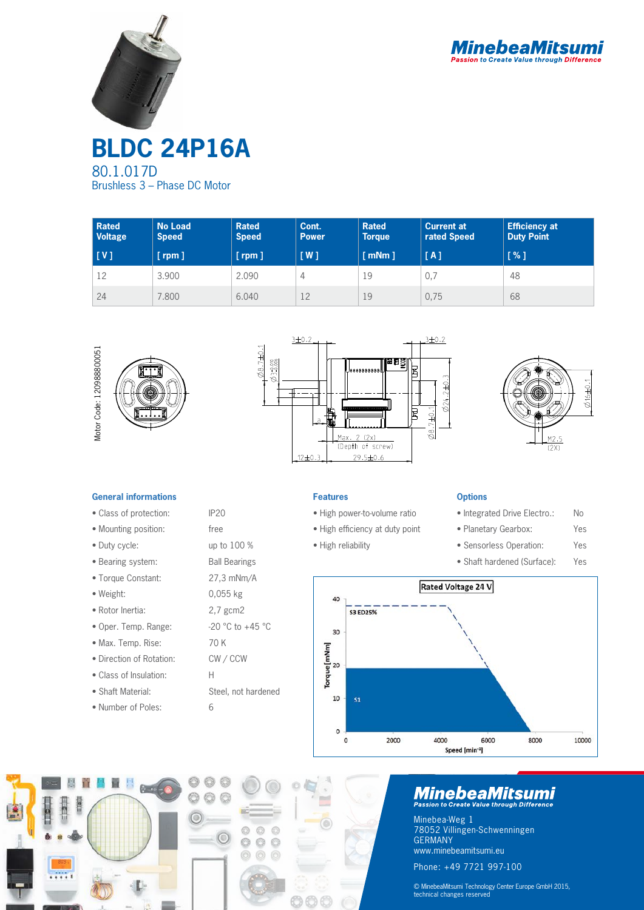



**BLDC 24P16A** 80.1.017D Brushless 3 – Phase DC Motor

| <b>Rated</b><br><b>Voltage</b> | <b>No Load</b><br><b>Speed</b> | <b>Rated</b><br><b>Speed</b> | Cont.<br><b>Power</b> | <b>Rated</b><br><b>Torque</b> | <b>Current at</b><br>rated Speed | <b>Efficiency at</b><br><b>Duty Point</b> |
|--------------------------------|--------------------------------|------------------------------|-----------------------|-------------------------------|----------------------------------|-------------------------------------------|
| [V]                            | [ $rpm$ ]                      | $[$ rpm $]$                  | [W]                   | $\lceil$ mNm $\rceil$         | [A]                              | <b>T%1</b>                                |
| 12                             | 3.900                          | 2.090                        | 4                     | 19                            | 0,7                              | 48                                        |
| 24                             | 7.800                          | 6.040                        | 12                    | 19                            | 0,75                             | 68                                        |







### **General informations**

- Class of protection: IP20
- Mounting position: free
- Duty cycle: up to 100 %
- Bearing system: Ball Bearings
- Torque Constant: 27,3 mNm/A
- Weight: 0,055 kg
- Rotor Inertia: 2,7 gcm2
- Oper. Temp. Range:  $-20$  °C to  $+45$  °C
- Max. Temp. Rise: 70 K
- Direction of Rotation: CW / CCW
- Class of Insulation: H
- Shaft Material: Steel, not hardened
- Number of Poles: 6

- High power-to-volume ratio
- High efficiency at duty point
- High reliability

**Features**

## **Options**

- Integrated Drive Electro.: No
- Planetary Gearbox: Yes
- Sensorless Operation: Yes
- Shaft hardened (Surface): Yes





## **MinebeaMitsumi**

Minebea-Weg 1 78052 Villingen-Schwenningen GERMANY www.minebeamitsumi.eu Phone: +49 7721 997-100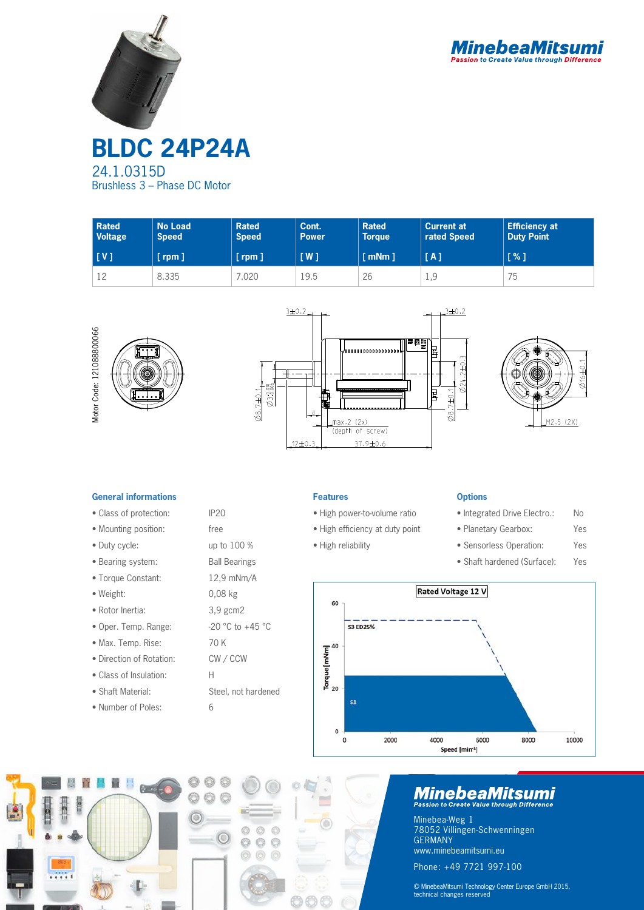



**BLDC 24P24A** 24.1.0315D Brushless 3 – Phase DC Motor

| <b>Rated</b><br><b>Voltage</b> | <b>No Load</b><br><b>Speed</b> | <b>Rated</b><br><b>Speed</b> | Cont.<br><b>Power</b> | <b>Rated</b><br><b>Torque</b> | <b>Current at</b><br>rated Speed | <b>Efficiency at</b><br><b>Duty Point</b> |
|--------------------------------|--------------------------------|------------------------------|-----------------------|-------------------------------|----------------------------------|-------------------------------------------|
| [V]                            | [rpm ]                         | $[$ rpm $]$                  | $\lceil$ W $\rceil$   | $\lceil$ mNm $\rceil$         | [A]                              | [%]                                       |
| 12                             | 8.335                          | .020                         | 19.5                  | 26                            | 1,9                              | 75                                        |







### **General informations**

- Class of protection: IP20
- Mounting position: free
- Duty cycle: up to 100 %
- Bearing system: Ball Bearings
- Torque Constant: 12,9 mNm/A
- 
- Rotor Inertia: 3,9 gcm2
- Oper. Temp. Range:  $-20$  °C to  $+45$  °C
- Max. Temp. Rise: 70 K
- Direction of Rotation: CW / CCW
- Class of Insulation: H
- 
- Number of Poles: 6



- High power-to-volume ratio
- High efficiency at duty point
- High reliability

## **Options**

- Integrated Drive Electro.: No
- Planetary Gearbox: Yes
- Sensorless Operation: Yes
- Shaft hardened (Surface): Yes





## **MinebeaMitsumi**

Minebea-Weg 1 78052 Villingen-Schwenningen GERMANY www.minebeamitsumi.eu

Phone: +49 7721 997-100

© MinebeaMitsumi Technology Center Europe GmbH 2015, technical changes reserved

• Weight: 0,08 kg

- 
- 
- 
- 
- 
- Shaft Material: Steel, not hardened
	-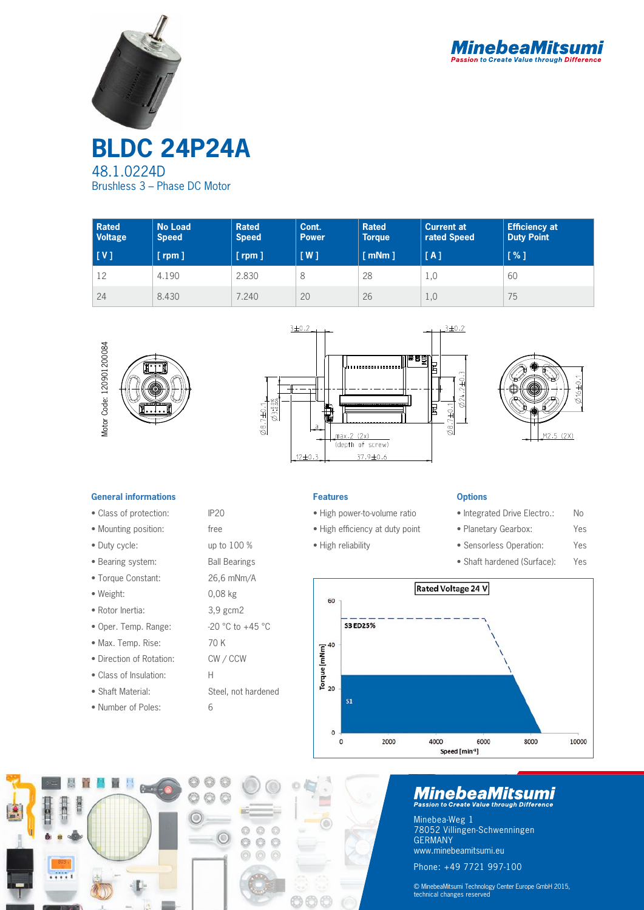



48.1.0224D Brushless 3 – Phase DC Motor

| <b>Rated</b><br><b>Voltage</b> | <b>No Load</b><br><b>Speed</b> | <b>Rated</b><br><b>Speed</b> | Cont.<br><b>Power</b> | <b>Rated</b><br><b>Torque</b> | <b>Current at</b><br>rated Speed | <b>Efficiency at</b><br><b>Duty Point</b>            |
|--------------------------------|--------------------------------|------------------------------|-----------------------|-------------------------------|----------------------------------|------------------------------------------------------|
| [ V ]                          | $[$ rpm $]$                    | $[$ rpm $]$                  | [W]                   | $\lceil$ mNm $\rceil$         | [A]                              | $\left[ \begin{array}{c} \infty \end{array} \right]$ |
| 12                             | 4.190                          | 2.830                        | 8                     | 28                            | 1,0                              | 60                                                   |
| 24                             | 8.430                          | 7.240                        | 20                    | 26                            | 1,0                              | 75                                                   |







#### **General informations**

- Class of protection: IP20
- Mounting position: free
- Duty cycle: up to 100 %
- Bearing system: Ball Bearings
- Torque Constant: 26,6 mNm/A
- Weight: 0,08 kg
- Rotor Inertia: 3,9 gcm2
- Oper. Temp. Range:  $-20$  °C to  $+45$  °C
- Max. Temp. Rise: 70 K
- Direction of Rotation: CW / CCW
- Class of Insulation: H
- 
- Number of Poles: 6

 $6 - 6$ 

- 
- 
- 
- 
- 
- Shaft Material: Steel, not hardened

O

 $\odot$ 6  $^{\circ}$ 

#### **Features**

- High power-to-volume ratio
- High efficiency at duty point
- High reliability
	-

## **Options**

- Integrated Drive Electro.: No
- Planetary Gearbox: Yes
- Sensorless Operation: Yes
- Shaft hardened (Surface): Yes



# **MinebeaMitsumi**

Minebea-Weg 1 78052 Villingen-Schwenningen GERMANY www.minebeamitsumi.eu

Phone: +49 7721 997-100